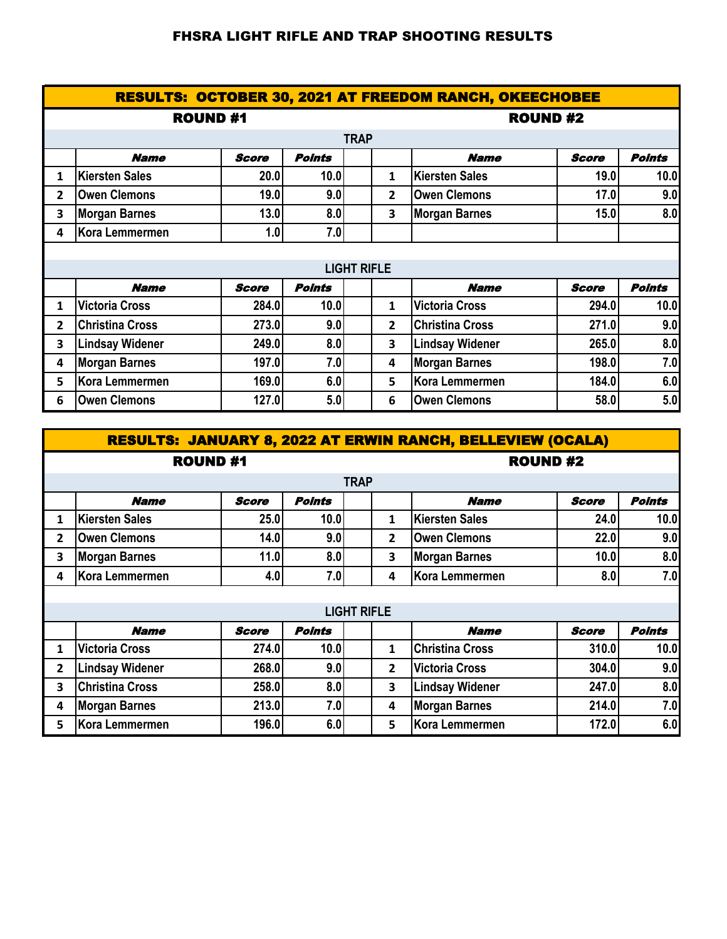## FHSRA LIGHT RIFLE AND TRAP SHOOTING RESULTS

| <b>RESULTS: OCTOBER 30, 2021 AT FREEDOM RANCH, OKEECHOBEE</b> |                        |              |               |                    |                |                        |              |               |  |  |
|---------------------------------------------------------------|------------------------|--------------|---------------|--------------------|----------------|------------------------|--------------|---------------|--|--|
|                                                               | <b>ROUND#1</b>         |              |               |                    |                | <b>ROUND#2</b>         |              |               |  |  |
|                                                               | <b>TRAP</b>            |              |               |                    |                |                        |              |               |  |  |
|                                                               | <b>Name</b>            | <b>Score</b> | <b>Points</b> |                    |                | <b>Name</b>            | <b>Score</b> | <b>Points</b> |  |  |
| 1                                                             | <b>Kiersten Sales</b>  | 20.0         | 10.0          |                    | 1              | <b>Kiersten Sales</b>  | 19.0         | 10.0          |  |  |
| 2                                                             | <b>Owen Clemons</b>    | 19.0         | 9.0           |                    | $\mathbf{2}$   | <b>Owen Clemons</b>    | 17.0         | 9.0           |  |  |
| 3                                                             | <b>Morgan Barnes</b>   | 13.0         | 8.0           |                    | 3              | <b>Morgan Barnes</b>   | 15.0         | 8.0           |  |  |
| 4                                                             | Kora Lemmermen         | 1.0          | 7.0           |                    |                |                        |              |               |  |  |
|                                                               |                        |              |               |                    |                |                        |              |               |  |  |
|                                                               |                        |              |               | <b>LIGHT RIFLE</b> |                |                        |              |               |  |  |
|                                                               | <b>Name</b>            | <b>Score</b> | <b>Points</b> |                    |                | <b>Name</b>            | <b>Score</b> | <b>Points</b> |  |  |
| 1                                                             | <b>Victoria Cross</b>  | 284.0        | 10.0          |                    | $\mathbf{1}$   | <b>Victoria Cross</b>  | 294.0        | 10.0          |  |  |
| 2                                                             | <b>Christina Cross</b> | 273.0        | 9.0           |                    | $\overline{2}$ | <b>Christina Cross</b> | 271.0        | 9.0           |  |  |
| 3                                                             | <b>Lindsay Widener</b> | 249.0        | 8.0           |                    | 3              | <b>Lindsay Widener</b> | 265.0        | 8.0           |  |  |
| 4                                                             | <b>Morgan Barnes</b>   | 197.0        | 7.0           |                    | 4              | <b>Morgan Barnes</b>   | 198.0        | 7.0           |  |  |
| 5                                                             | Kora Lemmermen         | 169.0        | 6.0           |                    | 5              | <b>Kora Lemmermen</b>  | 184.0        | 6.0           |  |  |
| 6                                                             | <b>Owen Clemons</b>    | 127.0        | 5.0           |                    | 6              | <b>Owen Clemons</b>    | 58.0         | 5.0           |  |  |

|                | <b>RESULTS: JANUARY 8, 2022 AT ERWIN RANCH, BELLEVIEW (OCALA)</b> |                |               |                         |                        |              |               |  |  |  |  |
|----------------|-------------------------------------------------------------------|----------------|---------------|-------------------------|------------------------|--------------|---------------|--|--|--|--|
|                |                                                                   | <b>ROUND#1</b> |               |                         | <b>ROUND#2</b>         |              |               |  |  |  |  |
| <b>TRAP</b>    |                                                                   |                |               |                         |                        |              |               |  |  |  |  |
|                | <b>Name</b>                                                       | <b>Score</b>   | <b>Points</b> |                         | <b>Name</b>            | <b>Score</b> | <b>Points</b> |  |  |  |  |
| 1              | Kiersten Sales                                                    | 25.0           | 10.0          | 1                       | <b>Kiersten Sales</b>  | 24.0         | 10.0          |  |  |  |  |
| $\overline{2}$ | <b>Owen Clemons</b>                                               | 14.0           | 9.0           | $\mathbf{2}$            | <b>Owen Clemons</b>    | 22.0         | 9.0           |  |  |  |  |
| 3              | <b>Morgan Barnes</b>                                              | 11.0           | 8.0           | 3                       | <b>Morgan Barnes</b>   | 10.0         | 8.0           |  |  |  |  |
| 4              | Kora Lemmermen                                                    | 4.0            | 7.0           | 4                       | Kora Lemmermen         | 8.0          | 7.0           |  |  |  |  |
|                |                                                                   |                |               |                         |                        |              |               |  |  |  |  |
|                | <b>LIGHT RIFLE</b>                                                |                |               |                         |                        |              |               |  |  |  |  |
|                | <b>Name</b>                                                       | <b>Score</b>   | Points        |                         | <b>Name</b>            | <b>Score</b> | Points        |  |  |  |  |
| 1              | <b>Victoria Cross</b>                                             | 274.0          | 10.0          | $\mathbf{1}$            | <b>Christina Cross</b> | 310.0        | 10.0          |  |  |  |  |
| 2              | <b>Lindsay Widener</b>                                            | 268.0          | 9.0           | $\overline{2}$          | <b>Victoria Cross</b>  | 304.0        | 9.0           |  |  |  |  |
| 3              | <b>Christina Cross</b>                                            | 258.0          | 8.0           | $\overline{\mathbf{3}}$ | <b>Lindsay Widener</b> | 247.0        | 8.0           |  |  |  |  |
| 4              | <b>Morgan Barnes</b>                                              | 213.0          | 7.0           | 4                       | <b>Morgan Barnes</b>   | 214.0        | 7.0           |  |  |  |  |
| 5              | Kora Lemmermen                                                    | 196.0          | 6.0           | 5                       | Kora Lemmermen         | 172.0        | 6.0           |  |  |  |  |